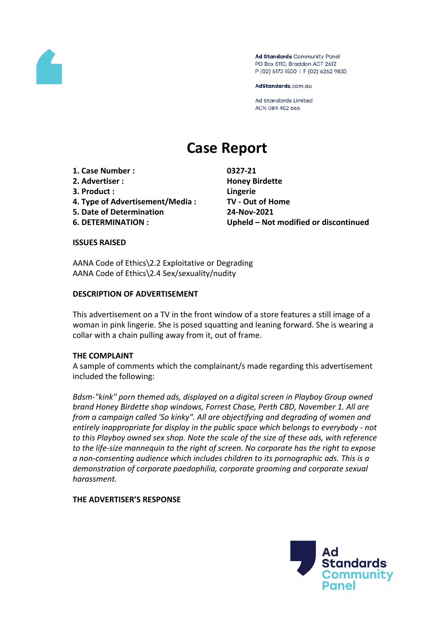

Ad Standards Community Panel PO Box 5110, Braddon ACT 2612 P (02) 6173 1500 | F (02) 6262 9833

AdStandards.com.au

**Ad Standards Limited** ACN 084 452 666

# **Case Report**

- **1. Case Number : 0327-21**
- **2. Advertiser : Honey Birdette**
- **3. Product : Lingerie**
- **4. Type of Advertisement/Media : TV - Out of Home**
- **5. Date of Determination 24-Nov-2021**
- 

**6. DETERMINATION : Upheld – Not modified or discontinued**

### **ISSUES RAISED**

AANA Code of Ethics\2.2 Exploitative or Degrading AANA Code of Ethics\2.4 Sex/sexuality/nudity

## **DESCRIPTION OF ADVERTISEMENT**

This advertisement on a TV in the front window of a store features a still image of a woman in pink lingerie. She is posed squatting and leaning forward. She is wearing a collar with a chain pulling away from it, out of frame.

# **THE COMPLAINT**

A sample of comments which the complainant/s made regarding this advertisement included the following:

*Bdsm-"kink" porn themed ads, displayed on a digital screen in Playboy Group owned brand Honey Birdette shop windows, Forrest Chase, Perth CBD, November 1. All are from a campaign called 'So kinky". All are objectifying and degrading of women and entirely inappropriate for display in the public space which belongs to everybody - not to this Playboy owned sex shop. Note the scale of the size of these ads, with reference to the life-size mannequin to the right of screen. No corporate has the right to expose a non-consenting audience which includes children to its pornographic ads. This is a demonstration of corporate paedophilia, corporate grooming and corporate sexual harassment.*

# **THE ADVERTISER'S RESPONSE**

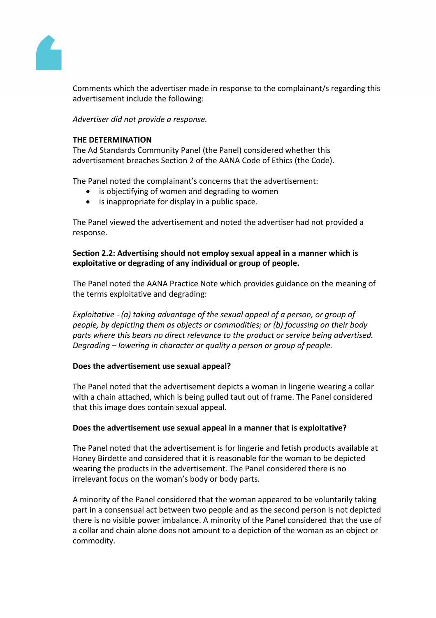

Comments which the advertiser made in response to the complainant/s regarding this advertisement include the following:

*Advertiser did not provide a response.*

## **THE DETERMINATION**

The Ad Standards Community Panel (the Panel) considered whether this advertisement breaches Section 2 of the AANA Code of Ethics (the Code).

The Panel noted the complainant's concerns that the advertisement:

- is objectifying of women and degrading to women
- is inappropriate for display in a public space.

The Panel viewed the advertisement and noted the advertiser had not provided a response.

## **Section 2.2: Advertising should not employ sexual appeal in a manner which is exploitative or degrading of any individual or group of people.**

The Panel noted the AANA Practice Note which provides guidance on the meaning of the terms exploitative and degrading:

*Exploitative - (a) taking advantage of the sexual appeal of a person, or group of people, by depicting them as objects or commodities; or (b) focussing on their body parts where this bears no direct relevance to the product or service being advertised. Degrading – lowering in character or quality a person or group of people.*

### **Does the advertisement use sexual appeal?**

The Panel noted that the advertisement depicts a woman in lingerie wearing a collar with a chain attached, which is being pulled taut out of frame. The Panel considered that this image does contain sexual appeal.

# **Does the advertisement use sexual appeal in a manner that is exploitative?**

The Panel noted that the advertisement is for lingerie and fetish products available at Honey Birdette and considered that it is reasonable for the woman to be depicted wearing the products in the advertisement. The Panel considered there is no irrelevant focus on the woman's body or body parts.

A minority of the Panel considered that the woman appeared to be voluntarily taking part in a consensual act between two people and as the second person is not depicted there is no visible power imbalance. A minority of the Panel considered that the use of a collar and chain alone does not amount to a depiction of the woman as an object or commodity.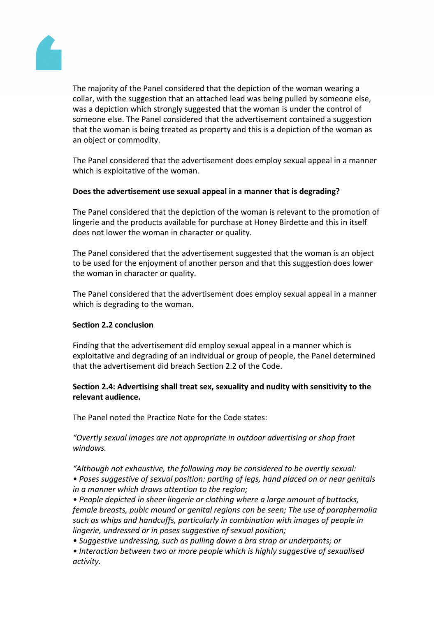

The majority of the Panel considered that the depiction of the woman wearing a collar, with the suggestion that an attached lead was being pulled by someone else, was a depiction which strongly suggested that the woman is under the control of someone else. The Panel considered that the advertisement contained a suggestion that the woman is being treated as property and this is a depiction of the woman as an object or commodity.

The Panel considered that the advertisement does employ sexual appeal in a manner which is exploitative of the woman.

## **Does the advertisement use sexual appeal in a manner that is degrading?**

The Panel considered that the depiction of the woman is relevant to the promotion of lingerie and the products available for purchase at Honey Birdette and this in itself does not lower the woman in character or quality.

The Panel considered that the advertisement suggested that the woman is an object to be used for the enjoyment of another person and that this suggestion does lower the woman in character or quality.

The Panel considered that the advertisement does employ sexual appeal in a manner which is degrading to the woman.

### **Section 2.2 conclusion**

Finding that the advertisement did employ sexual appeal in a manner which is exploitative and degrading of an individual or group of people, the Panel determined that the advertisement did breach Section 2.2 of the Code.

## **Section 2.4: Advertising shall treat sex, sexuality and nudity with sensitivity to the relevant audience.**

The Panel noted the Practice Note for the Code states:

*"Overtly sexual images are not appropriate in outdoor advertising or shop front windows.*

*"Although not exhaustive, the following may be considered to be overtly sexual: • Poses suggestive of sexual position: parting of legs, hand placed on or near genitals in a manner which draws attention to the region;*

*• People depicted in sheer lingerie or clothing where a large amount of buttocks, female breasts, pubic mound or genital regions can be seen; The use of paraphernalia such as whips and handcuffs, particularly in combination with images of people in lingerie, undressed or in poses suggestive of sexual position;*

*• Suggestive undressing, such as pulling down a bra strap or underpants; or*

*• Interaction between two or more people which is highly suggestive of sexualised activity.*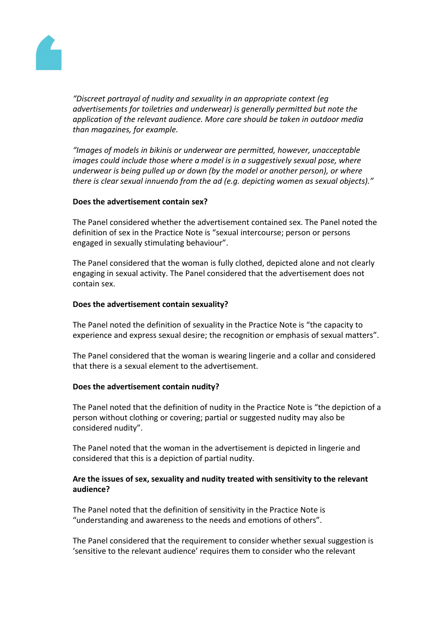

*"Discreet portrayal of nudity and sexuality in an appropriate context (eg advertisements for toiletries and underwear) is generally permitted but note the application of the relevant audience. More care should be taken in outdoor media than magazines, for example.*

*"Images of models in bikinis or underwear are permitted, however, unacceptable images could include those where a model is in a suggestively sexual pose, where underwear is being pulled up or down (by the model or another person), or where there is clear sexual innuendo from the ad (e.g. depicting women as sexual objects)."*

### **Does the advertisement contain sex?**

The Panel considered whether the advertisement contained sex. The Panel noted the definition of sex in the Practice Note is "sexual intercourse; person or persons engaged in sexually stimulating behaviour".

The Panel considered that the woman is fully clothed, depicted alone and not clearly engaging in sexual activity. The Panel considered that the advertisement does not contain sex.

#### **Does the advertisement contain sexuality?**

The Panel noted the definition of sexuality in the Practice Note is "the capacity to experience and express sexual desire; the recognition or emphasis of sexual matters".

The Panel considered that the woman is wearing lingerie and a collar and considered that there is a sexual element to the advertisement.

#### **Does the advertisement contain nudity?**

The Panel noted that the definition of nudity in the Practice Note is "the depiction of a person without clothing or covering; partial or suggested nudity may also be considered nudity".

The Panel noted that the woman in the advertisement is depicted in lingerie and considered that this is a depiction of partial nudity.

### **Are the issues of sex, sexuality and nudity treated with sensitivity to the relevant audience?**

The Panel noted that the definition of sensitivity in the Practice Note is "understanding and awareness to the needs and emotions of others".

The Panel considered that the requirement to consider whether sexual suggestion is 'sensitive to the relevant audience' requires them to consider who the relevant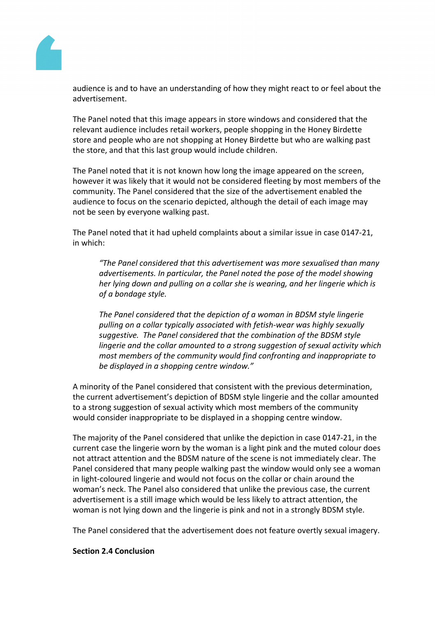

audience is and to have an understanding of how they might react to or feel about the advertisement.

The Panel noted that this image appears in store windows and considered that the relevant audience includes retail workers, people shopping in the Honey Birdette store and people who are not shopping at Honey Birdette but who are walking past the store, and that this last group would include children.

The Panel noted that it is not known how long the image appeared on the screen, however it was likely that it would not be considered fleeting by most members of the community. The Panel considered that the size of the advertisement enabled the audience to focus on the scenario depicted, although the detail of each image may not be seen by everyone walking past.

The Panel noted that it had upheld complaints about a similar issue in case 0147-21, in which:

*"The Panel considered that this advertisement was more sexualised than many advertisements. In particular, the Panel noted the pose of the model showing her lying down and pulling on a collar she is wearing, and her lingerie which is of a bondage style.*

*The Panel considered that the depiction of a woman in BDSM style lingerie pulling on a collar typically associated with fetish-wear was highly sexually suggestive. The Panel considered that the combination of the BDSM style lingerie and the collar amounted to a strong suggestion of sexual activity which most members of the community would find confronting and inappropriate to be displayed in a shopping centre window."*

A minority of the Panel considered that consistent with the previous determination, the current advertisement's depiction of BDSM style lingerie and the collar amounted to a strong suggestion of sexual activity which most members of the community would consider inappropriate to be displayed in a shopping centre window.

The majority of the Panel considered that unlike the depiction in case 0147-21, in the current case the lingerie worn by the woman is a light pink and the muted colour does not attract attention and the BDSM nature of the scene is not immediately clear. The Panel considered that many people walking past the window would only see a woman in light-coloured lingerie and would not focus on the collar or chain around the woman's neck. The Panel also considered that unlike the previous case, the current advertisement is a still image which would be less likely to attract attention, the woman is not lying down and the lingerie is pink and not in a strongly BDSM style.

The Panel considered that the advertisement does not feature overtly sexual imagery.

### **Section 2.4 Conclusion**